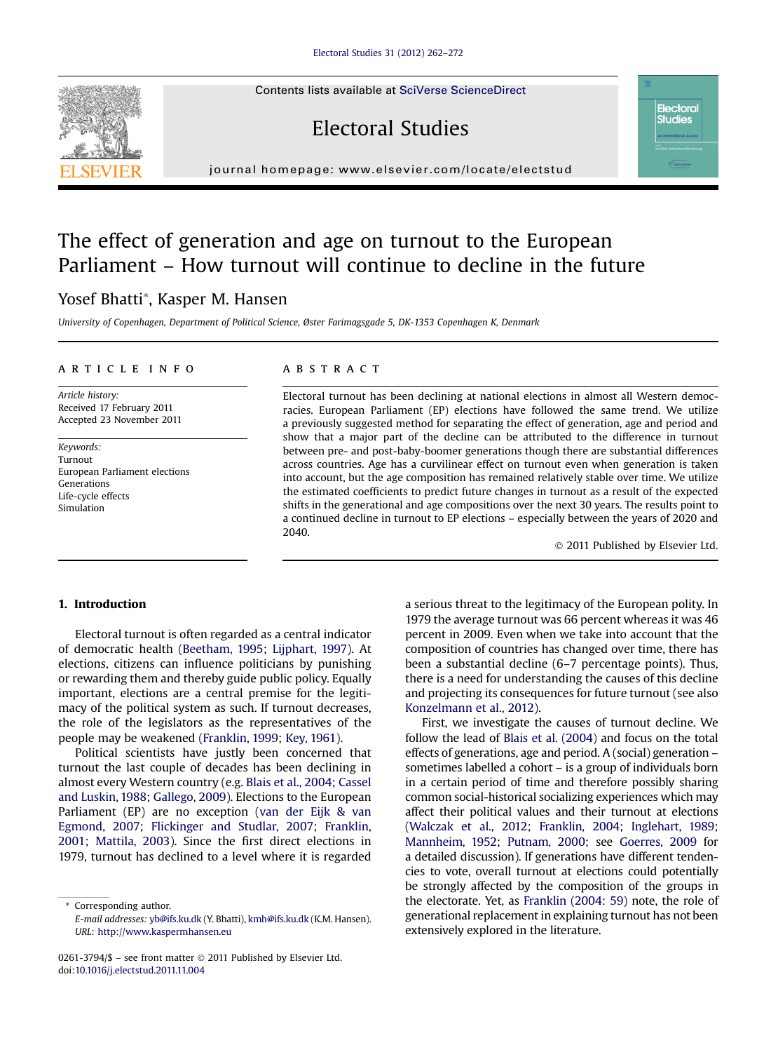Contents lists available at [SciVerse ScienceDirect](www.sciencedirect.com/science/journal/02613794)





# The effect of generation and age on turnout to the European Parliament – How turnout will continue to decline in the future

# Yosef Bhatti\*, Kasper M. Hansen

University of Copenhagen, Department of Political Science, Øster Farimagsgade 5, DK-1353 Copenhagen K, Denmark

# article info

Article history: Received 17 February 2011 Accepted 23 November 2011

Keywords: Turnout European Parliament elections Generations Life-cycle effects Simulation

# **ABSTRACT**

Electoral turnout has been declining at national elections in almost all Western democracies. European Parliament (EP) elections have followed the same trend. We utilize a previously suggested method for separating the effect of generation, age and period and show that a major part of the decline can be attributed to the difference in turnout between pre- and post-baby-boomer generations though there are substantial differences across countries. Age has a curvilinear effect on turnout even when generation is taken into account, but the age composition has remained relatively stable over time. We utilize the estimated coefficients to predict future changes in turnout as a result of the expected shifts in the generational and age compositions over the next 30 years. The results point to a continued decline in turnout to EP elections – especially between the years of 2020 and 2040.

2011 Published by Elsevier Ltd.

**Electoral Studies** 

# 1. Introduction

Electoral turnout is often regarded as a central indicator of democratic health [\(Beetham, 1995;](#page-9-0) [Lijphart, 1997](#page-10-0)). At elections, citizens can influence politicians by punishing or rewarding them and thereby guide public policy. Equally important, elections are a central premise for the legitimacy of the political system as such. If turnout decreases, the role of the legislators as the representatives of the people may be weakened [\(Franklin, 1999](#page-9-0); [Key, 1961](#page-10-0)).

Political scientists have justly been concerned that turnout the last couple of decades has been declining in almost every Western country (e.g. [Blais et al., 2004](#page-9-0); [Cassel](#page-9-0) [and Luskin, 1988;](#page-9-0) [Gallego, 2009\)](#page-9-0). Elections to the European Parliament (EP) are no exception [\(van der Eijk & van](#page-10-0) [Egmond, 2007;](#page-10-0) [Flickinger and Studlar, 2007](#page-9-0); [Franklin,](#page-9-0) [2001](#page-9-0); [Mattila, 2003](#page-10-0)). Since the first direct elections in 1979, turnout has declined to a level where it is regarded

\* Corresponding author. E-mail addresses: [yb@ifs.ku.dk](mailto:yb@ifs.ku.dk) (Y. Bhatti), [kmh@ifs.ku.dk](mailto:kmh@ifs.ku.dk) (K.M. Hansen). URL: <http://www.kaspermhansen.eu>

0261-3794/\$ - see front matter  $\odot$  2011 Published by Elsevier Ltd. doi:[10.1016/j.electstud.2011.11.004](http://dx.doi.org/10.1016/j.electstud.2011.11.004)

a serious threat to the legitimacy of the European polity. In 1979 the average turnout was 66 percent whereas it was 46 percent in 2009. Even when we take into account that the composition of countries has changed over time, there has been a substantial decline (6–7 percentage points). Thus, there is a need for understanding the causes of this decline and projecting its consequences for future turnout (see also [Konzelmann et al., 2012](#page-10-0)).

First, we investigate the causes of turnout decline. We follow the lead of [Blais et al. \(2004\)](#page-9-0) and focus on the total effects of generations, age and period. A (social) generation – sometimes labelled a cohort – is a group of individuals born in a certain period of time and therefore possibly sharing common social-historical socializing experiences which may affect their political values and their turnout at elections [\(Walczak et al., 2012](#page-10-0); [Franklin, 2004;](#page-9-0) [Inglehart, 1989;](#page-9-0) [Mannheim, 1952;](#page-10-0) [Putnam, 2000](#page-10-0); see [Goerres, 2009](#page-9-0) for a detailed discussion). If generations have different tendencies to vote, overall turnout at elections could potentially be strongly affected by the composition of the groups in the electorate. Yet, as [Franklin \(2004: 59\)](#page-9-0) note, the role of generational replacement in explaining turnout has not been extensively explored in the literature.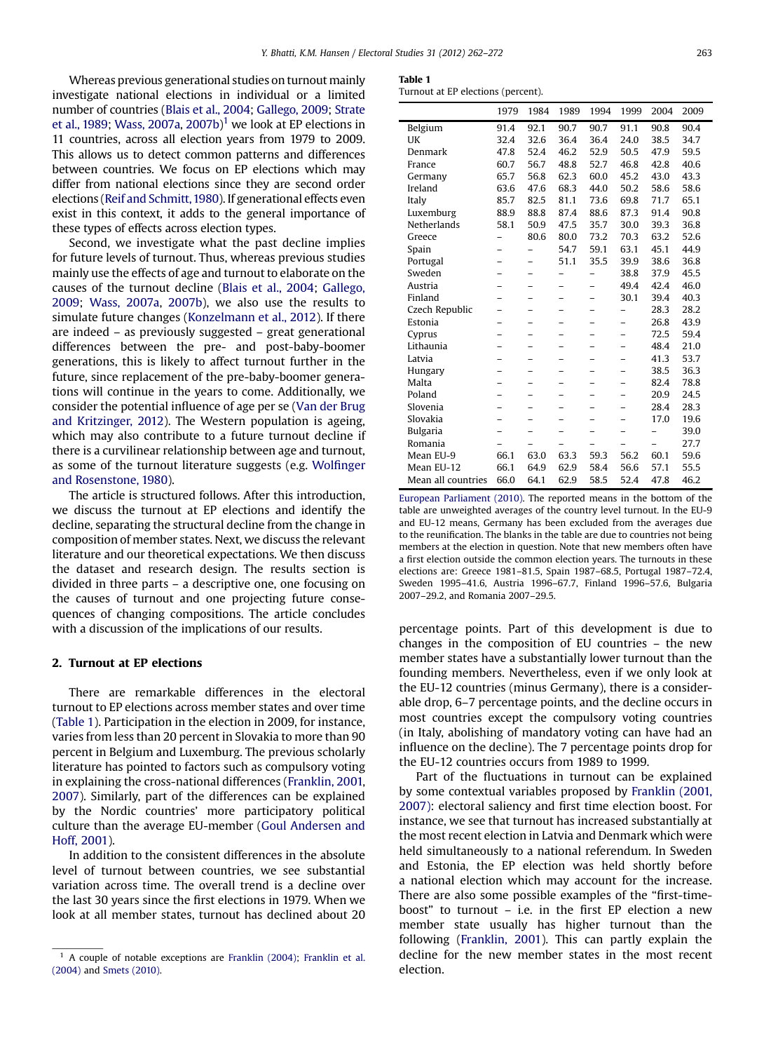<span id="page-1-0"></span>Whereas previous generational studies on turnout mainly investigate national elections in individual or a limited number of countries ([Blais et al., 2004;](#page-9-0) [Gallego, 2009;](#page-9-0) [Strate](#page-10-0) [et al., 1989](#page-10-0); [Wass, 2007a](#page-10-0), [2007b\)](#page-10-0)<sup>1</sup> we look at EP elections in 11 countries, across all election years from 1979 to 2009. This allows us to detect common patterns and differences between countries. We focus on EP elections which may differ from national elections since they are second order elections [\(Reif and Schmitt,1980](#page-10-0)). If generational effects even exist in this context, it adds to the general importance of these types of effects across election types.

Second, we investigate what the past decline implies for future levels of turnout. Thus, whereas previous studies mainly use the effects of age and turnout to elaborate on the causes of the turnout decline [\(Blais et al., 2004;](#page-9-0) [Gallego,](#page-9-0) [2009](#page-9-0); [Wass, 2007a,](#page-10-0) [2007b\)](#page-10-0), we also use the results to simulate future changes ([Konzelmann et al., 2012](#page-10-0)). If there are indeed – as previously suggested – great generational differences between the pre- and post-baby-boomer generations, this is likely to affect turnout further in the future, since replacement of the pre-baby-boomer generations will continue in the years to come. Additionally, we consider the potential influence of age per se [\(Van der Brug](#page-10-0) [and Kritzinger, 2012\)](#page-10-0). The Western population is ageing, which may also contribute to a future turnout decline if there is a curvilinear relationship between age and turnout, as some of the turnout literature suggests (e.g. Wolfi[nger](#page-10-0) [and Rosenstone, 1980](#page-10-0)).

The article is structured follows. After this introduction, we discuss the turnout at EP elections and identify the decline, separating the structural decline from the change in composition of member states. Next, we discuss the relevant literature and our theoretical expectations. We then discuss the dataset and research design. The results section is divided in three parts – a descriptive one, one focusing on the causes of turnout and one projecting future consequences of changing compositions. The article concludes with a discussion of the implications of our results.

# 2. Turnout at EP elections

There are remarkable differences in the electoral turnout to EP elections across member states and over time (Table 1). Participation in the election in 2009, for instance, varies from less than 20 percent in Slovakia to more than 90 percent in Belgium and Luxemburg. The previous scholarly literature has pointed to factors such as compulsory voting in explaining the cross-national differences [\(Franklin, 2001,](#page-9-0) [2007](#page-9-0)). Similarly, part of the differences can be explained by the Nordic countries' more participatory political culture than the average EU-member ([Goul Andersen and](#page-9-0) [Hoff, 2001](#page-9-0)).

In addition to the consistent differences in the absolute level of turnout between countries, we see substantial variation across time. The overall trend is a decline over the last 30 years since the first elections in 1979. When we look at all member states, turnout has declined about 20

| ł<br>Tabl |  |
|-----------|--|
|-----------|--|

Turnout at EP elections (percent).

|                    | 1979                     | 1984                     | 1989                     | 1994 | 1999                     | 2004 | 2009 |
|--------------------|--------------------------|--------------------------|--------------------------|------|--------------------------|------|------|
| Belgium            | 91.4                     | 92.1                     | 90.7                     | 90.7 | 91.1                     | 90.8 | 90.4 |
| UK                 | 32.4                     | 32.6                     | 36.4                     | 36.4 | 24.0                     | 38.5 | 34.7 |
| Denmark            | 47.8                     | 52.4                     | 46.2                     | 52.9 | 50.5                     | 47.9 | 59.5 |
| France             | 60.7                     | 56.7                     | 48.8                     | 52.7 | 46.8                     | 42.8 | 40.6 |
| Germany            | 65.7                     | 56.8                     | 62.3                     | 60.0 | 45.2                     | 43.0 | 43.3 |
| Ireland            | 63.6                     | 47.6                     | 68.3                     | 44.0 | 50.2                     | 58.6 | 58.6 |
| Italy              | 85.7                     | 82.5                     | 81.1                     | 73.6 | 69.8                     | 71.7 | 65.1 |
| Luxemburg          | 88.9                     | 88.8                     | 87.4                     | 88.6 | 87.3                     | 91.4 | 90.8 |
| Netherlands        | 58.1                     | 50.9                     | 47.5                     | 35.7 | 30.0                     | 39.3 | 36.8 |
| Greece             |                          | 80.6                     | 80.0                     | 73.2 | 70.3                     | 63.2 | 52.6 |
| Spain              | $\overline{\phantom{0}}$ |                          | 54.7                     | 59.1 | 63.1                     | 45.1 | 44.9 |
| Portugal           | -                        | -                        | 51.1                     | 35.5 | 39.9                     | 38.6 | 36.8 |
| Sweden             |                          |                          |                          |      | 38.8                     | 37.9 | 45.5 |
| Austria            |                          | $\overline{\phantom{0}}$ | $\overline{\phantom{0}}$ |      | 49.4                     | 42.4 | 46.0 |
| Finland            |                          | -                        | -                        | -    | 30.1                     | 39.4 | 40.3 |
| Czech Republic     |                          | -                        | -                        | -    | -                        | 28.3 | 28.2 |
| Estonia            |                          |                          |                          |      |                          | 26.8 | 43.9 |
| Cyprus             | -                        | $\overline{a}$           | -                        | -    | $\overline{\phantom{0}}$ | 72.5 | 59.4 |
| Lithaunia          |                          |                          |                          |      |                          | 48.4 | 21.0 |
| Latvia             |                          |                          |                          |      |                          | 41.3 | 53.7 |
| Hungary            | -                        | -                        | -                        | -    | $\overline{\phantom{0}}$ | 38.5 | 36.3 |
| Malta              |                          |                          | -                        | -    |                          | 82.4 | 78.8 |
| Poland             |                          |                          |                          |      |                          | 20.9 | 24.5 |
| Slovenia           |                          |                          |                          |      |                          | 28.4 | 28.3 |
| Slovakia           |                          |                          |                          | -    |                          | 17.0 | 19.6 |
| <b>Bulgaria</b>    | $\overline{\phantom{0}}$ | $\overline{\phantom{0}}$ | -                        | -    | $\overline{\phantom{0}}$ | -    | 39.0 |
| Romania            |                          |                          |                          |      |                          |      | 27.7 |
| Mean EU-9          | 66.1                     | 63.0                     | 63.3                     | 59.3 | 56.2                     | 60.1 | 59.6 |
| Mean EU-12         | 66.1                     | 64.9                     | 62.9                     | 58.4 | 56.6                     | 57.1 | 55.5 |
| Mean all countries | 66.0                     | 64.1                     | 62.9                     | 58.5 | 52.4                     | 47.8 | 46.2 |

[European Parliament \(2010\)](#page-10-0). The reported means in the bottom of the table are unweighted averages of the country level turnout. In the EU-9 and EU-12 means, Germany has been excluded from the averages due to the reunification. The blanks in the table are due to countries not being members at the election in question. Note that new members often have a first election outside the common election years. The turnouts in these elections are: Greece 1981–81.5, Spain 1987–68.5, Portugal 1987–72.4, Sweden 1995–41.6, Austria 1996–67.7, Finland 1996–57.6, Bulgaria 2007–29.2, and Romania 2007–29.5.

percentage points. Part of this development is due to changes in the composition of EU countries – the new member states have a substantially lower turnout than the founding members. Nevertheless, even if we only look at the EU-12 countries (minus Germany), there is a considerable drop, 6–7 percentage points, and the decline occurs in most countries except the compulsory voting countries (in Italy, abolishing of mandatory voting can have had an influence on the decline). The 7 percentage points drop for the EU-12 countries occurs from 1989 to 1999.

Part of the fluctuations in turnout can be explained by some contextual variables proposed by [Franklin \(2001,](#page-9-0) [2007\)](#page-9-0): electoral saliency and first time election boost. For instance, we see that turnout has increased substantially at the most recent election in Latvia and Denmark which were held simultaneously to a national referendum. In Sweden and Estonia, the EP election was held shortly before a national election which may account for the increase. There are also some possible examples of the "first-timeboost" to turnout – i.e. in the first EP election a new member state usually has higher turnout than the following ([Franklin, 2001](#page-9-0)). This can partly explain the decline for the new member states in the most recent election.

 $1$  A couple of notable exceptions are [Franklin \(2004\)](#page-9-0); [Franklin et al.](#page-9-0) [\(2004\)](#page-9-0) and [Smets \(2010\).](#page-10-0)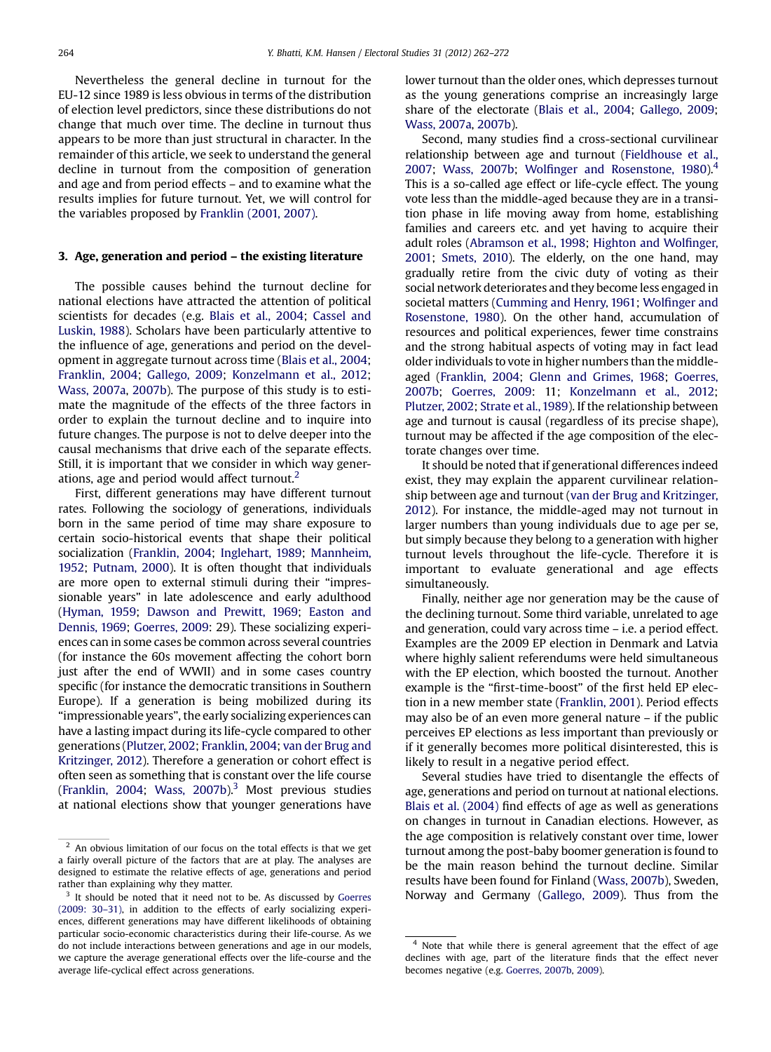Nevertheless the general decline in turnout for the EU-12 since 1989 is less obvious in terms of the distribution of election level predictors, since these distributions do not change that much over time. The decline in turnout thus appears to be more than just structural in character. In the remainder of this article, we seek to understand the general decline in turnout from the composition of generation and age and from period effects – and to examine what the results implies for future turnout. Yet, we will control for the variables proposed by [Franklin \(2001, 2007\).](#page-9-0)

# 3. Age, generation and period – the existing literature

The possible causes behind the turnout decline for national elections have attracted the attention of political scientists for decades (e.g. [Blais et al., 2004](#page-9-0); [Cassel and](#page-9-0) [Luskin, 1988](#page-9-0)). Scholars have been particularly attentive to the influence of age, generations and period on the development in aggregate turnout across time ([Blais et al., 2004](#page-9-0); [Franklin, 2004](#page-9-0); [Gallego, 2009](#page-9-0); [Konzelmann et al., 2012](#page-10-0); [Wass, 2007a,](#page-10-0) [2007b\)](#page-10-0). The purpose of this study is to estimate the magnitude of the effects of the three factors in order to explain the turnout decline and to inquire into future changes. The purpose is not to delve deeper into the causal mechanisms that drive each of the separate effects. Still, it is important that we consider in which way generations, age and period would affect turnout. $2$ 

First, different generations may have different turnout rates. Following the sociology of generations, individuals born in the same period of time may share exposure to certain socio-historical events that shape their political socialization [\(Franklin, 2004](#page-9-0); [Inglehart, 1989](#page-9-0); [Mannheim,](#page-10-0) [1952](#page-10-0); [Putnam, 2000\)](#page-10-0). It is often thought that individuals are more open to external stimuli during their "impressionable years" in late adolescence and early adulthood [\(Hyman, 1959;](#page-9-0) [Dawson and Prewitt, 1969](#page-9-0); [Easton and](#page-9-0) [Dennis, 1969](#page-9-0); [Goerres, 2009](#page-9-0): 29). These socializing experiences can in some cases be common across several countries (for instance the 60s movement affecting the cohort born just after the end of WWII) and in some cases country specific (for instance the democratic transitions in Southern Europe). If a generation is being mobilized during its "impressionable years", the early socializing experiences can have a lasting impact during its life-cycle compared to other generations [\(Plutzer, 2002;](#page-10-0) [Franklin, 2004](#page-9-0); [van der Brug and](#page-10-0) [Kritzinger, 2012](#page-10-0)). Therefore a generation or cohort effect is often seen as something that is constant over the life course [\(Franklin, 2004](#page-9-0); [Wass, 2007b\)](#page-10-0).<sup>3</sup> Most previous studies at national elections show that younger generations have lower turnout than the older ones, which depresses turnout as the young generations comprise an increasingly large share of the electorate [\(Blais et al., 2004;](#page-9-0) [Gallego, 2009;](#page-9-0) [Wass, 2007a](#page-10-0), [2007b\)](#page-10-0).

Second, many studies find a cross-sectional curvilinear relationship between age and turnout ([Fieldhouse et al.,](#page-9-0) [2007](#page-9-0); [Wass, 2007b](#page-10-0); Wolfinger and Rosenstone,  $1980$ ).<sup>4</sup> This is a so-called age effect or life-cycle effect. The young vote less than the middle-aged because they are in a transition phase in life moving away from home, establishing families and careers etc. and yet having to acquire their adult roles ([Abramson et al., 1998](#page-9-0); [Highton and Wol](#page-9-0)finger, [2001;](#page-9-0) [Smets, 2010\)](#page-10-0). The elderly, on the one hand, may gradually retire from the civic duty of voting as their social network deteriorates and they become less engaged in societal matters [\(Cumming and Henry, 1961](#page-9-0); Wolfi[nger and](#page-10-0) [Rosenstone, 1980\)](#page-10-0). On the other hand, accumulation of resources and political experiences, fewer time constrains and the strong habitual aspects of voting may in fact lead older individuals to vote in higher numbers than the middleaged [\(Franklin, 2004;](#page-9-0) [Glenn and Grimes, 1968](#page-9-0); [Goerres,](#page-9-0) [2007b;](#page-9-0) [Goerres, 2009](#page-9-0): 11; [Konzelmann et al., 2012;](#page-10-0) [Plutzer, 2002;](#page-10-0) [Strate et al., 1989](#page-10-0)). If the relationship between age and turnout is causal (regardless of its precise shape), turnout may be affected if the age composition of the electorate changes over time.

It should be noted that if generational differences indeed exist, they may explain the apparent curvilinear relationship between age and turnout ([van der Brug and Kritzinger,](#page-10-0) [2012\)](#page-10-0). For instance, the middle-aged may not turnout in larger numbers than young individuals due to age per se, but simply because they belong to a generation with higher turnout levels throughout the life-cycle. Therefore it is important to evaluate generational and age effects simultaneously.

Finally, neither age nor generation may be the cause of the declining turnout. Some third variable, unrelated to age and generation, could vary across time – i.e. a period effect. Examples are the 2009 EP election in Denmark and Latvia where highly salient referendums were held simultaneous with the EP election, which boosted the turnout. Another example is the "first-time-boost" of the first held EP election in a new member state [\(Franklin, 2001](#page-9-0)). Period effects may also be of an even more general nature – if the public perceives EP elections as less important than previously or if it generally becomes more political disinterested, this is likely to result in a negative period effect.

Several studies have tried to disentangle the effects of age, generations and period on turnout at national elections. [Blais et al. \(2004\)](#page-9-0) find effects of age as well as generations on changes in turnout in Canadian elections. However, as the age composition is relatively constant over time, lower turnout among the post-baby boomer generation is found to be the main reason behind the turnout decline. Similar results have been found for Finland [\(Wass, 2007b](#page-10-0)), Sweden, Norway and Germany [\(Gallego, 2009\)](#page-9-0). Thus from the

<sup>2</sup> An obvious limitation of our focus on the total effects is that we get a fairly overall picture of the factors that are at play. The analyses are designed to estimate the relative effects of age, generations and period rather than explaining why they matter.

<sup>&</sup>lt;sup>3</sup> It should be noted that it need not to be. As discussed by [Goerres](#page-9-0) [\(2009: 30](#page-9-0)–31), in addition to the effects of early socializing experiences, different generations may have different likelihoods of obtaining particular socio-economic characteristics during their life-course. As we do not include interactions between generations and age in our models, we capture the average generational effects over the life-course and the average life-cyclical effect across generations.

<sup>4</sup> Note that while there is general agreement that the effect of age declines with age, part of the literature finds that the effect never becomes negative (e.g. [Goerres, 2007b,](#page-9-0) [2009\)](#page-9-0).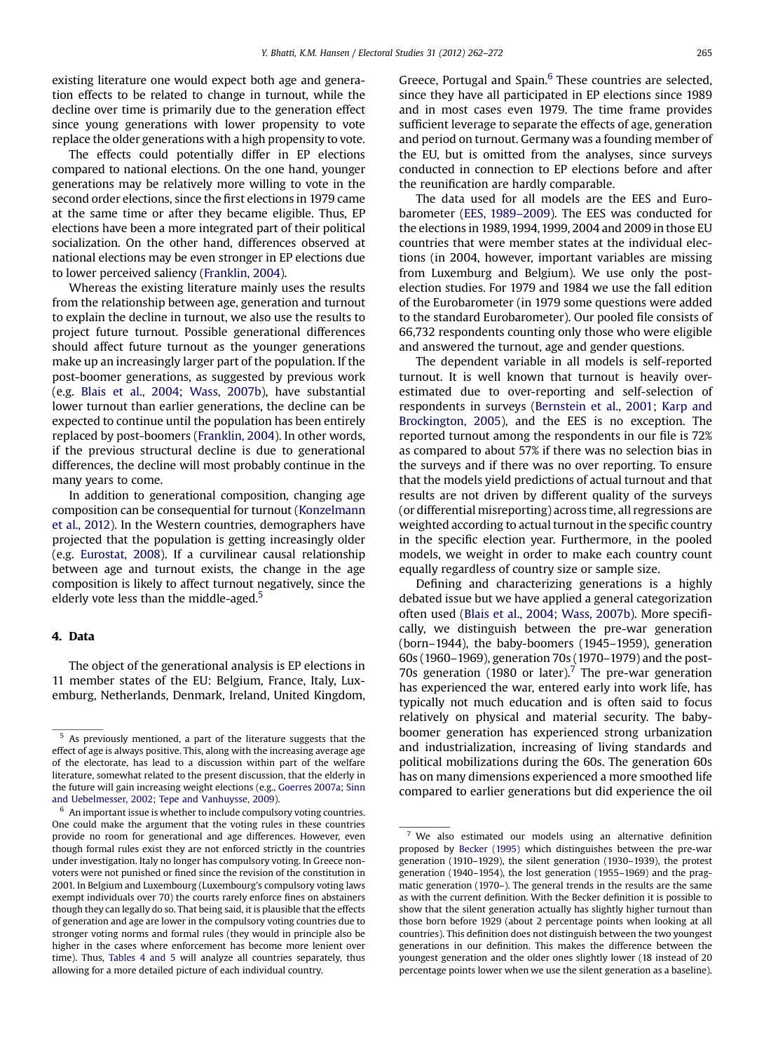existing literature one would expect both age and generation effects to be related to change in turnout, while the decline over time is primarily due to the generation effect since young generations with lower propensity to vote replace the older generations with a high propensity to vote.

The effects could potentially differ in EP elections compared to national elections. On the one hand, younger generations may be relatively more willing to vote in the second order elections, since the first elections in 1979 came at the same time or after they became eligible. Thus, EP elections have been a more integrated part of their political socialization. On the other hand, differences observed at national elections may be even stronger in EP elections due to lower perceived saliency [\(Franklin, 2004\)](#page-9-0).

Whereas the existing literature mainly uses the results from the relationship between age, generation and turnout to explain the decline in turnout, we also use the results to project future turnout. Possible generational differences should affect future turnout as the younger generations make up an increasingly larger part of the population. If the post-boomer generations, as suggested by previous work (e.g. [Blais et al., 2004](#page-9-0); [Wass, 2007b](#page-10-0)), have substantial lower turnout than earlier generations, the decline can be expected to continue until the population has been entirely replaced by post-boomers ([Franklin, 2004\)](#page-9-0). In other words, if the previous structural decline is due to generational differences, the decline will most probably continue in the many years to come.

In addition to generational composition, changing age composition can be consequential for turnout [\(Konzelmann](#page-10-0) [et al., 2012\)](#page-10-0). In the Western countries, demographers have projected that the population is getting increasingly older (e.g. [Eurostat, 2008](#page-9-0)). If a curvilinear causal relationship between age and turnout exists, the change in the age composition is likely to affect turnout negatively, since the elderly vote less than the middle-aged. $5$ 

# 4. Data

The object of the generational analysis is EP elections in 11 member states of the EU: Belgium, France, Italy, Luxemburg, Netherlands, Denmark, Ireland, United Kingdom, Greece, Portugal and Spain.<sup>6</sup> These countries are selected, since they have all participated in EP elections since 1989 and in most cases even 1979. The time frame provides sufficient leverage to separate the effects of age, generation and period on turnout. Germany was a founding member of the EU, but is omitted from the analyses, since surveys conducted in connection to EP elections before and after the reunification are hardly comparable.

The data used for all models are the EES and Eurobarometer ([EES, 1989](#page-9-0)–2009). The EES was conducted for the elections in 1989,1994,1999, 2004 and 2009 in those EU countries that were member states at the individual elections (in 2004, however, important variables are missing from Luxemburg and Belgium). We use only the postelection studies. For 1979 and 1984 we use the fall edition of the Eurobarometer (in 1979 some questions were added to the standard Eurobarometer). Our pooled file consists of 66,732 respondents counting only those who were eligible and answered the turnout, age and gender questions.

The dependent variable in all models is self-reported turnout. It is well known that turnout is heavily overestimated due to over-reporting and self-selection of respondents in surveys [\(Bernstein et al., 2001](#page-9-0); [Karp and](#page-10-0) [Brockington, 2005\)](#page-10-0), and the EES is no exception. The reported turnout among the respondents in our file is 72% as compared to about 57% if there was no selection bias in the surveys and if there was no over reporting. To ensure that the models yield predictions of actual turnout and that results are not driven by different quality of the surveys (or differential misreporting) across time, all regressions are weighted according to actual turnout in the specific country in the specific election year. Furthermore, in the pooled models, we weight in order to make each country count equally regardless of country size or sample size.

Defining and characterizing generations is a highly debated issue but we have applied a general categorization often used [\(Blais et al., 2004](#page-9-0); [Wass, 2007b](#page-10-0)). More specifically, we distinguish between the pre-war generation (born–1944), the baby-boomers (1945–1959), generation 60s (1960–1969), generation 70s (1970–1979) and the post-70s generation (1980 or later).<sup>7</sup> The pre-war generation has experienced the war, entered early into work life, has typically not much education and is often said to focus relatively on physical and material security. The babyboomer generation has experienced strong urbanization and industrialization, increasing of living standards and political mobilizations during the 60s. The generation 60s has on many dimensions experienced a more smoothed life compared to earlier generations but did experience the oil

<sup>5</sup> As previously mentioned, a part of the literature suggests that the effect of age is always positive. This, along with the increasing average age of the electorate, has lead to a discussion within part of the welfare literature, somewhat related to the present discussion, that the elderly in the future will gain increasing weight elections (e.g., [Goerres 2007a;](#page-9-0) [Sinn](#page-10-0) [and Uebelmesser, 2002;](#page-10-0) [Tepe and Vanhuysse, 2009\)](#page-10-0).

 $^6\,$  An important issue is whether to include compulsory voting countries. One could make the argument that the voting rules in these countries provide no room for generational and age differences. However, even though formal rules exist they are not enforced strictly in the countries under investigation. Italy no longer has compulsory voting. In Greece nonvoters were not punished or fined since the revision of the constitution in 2001. In Belgium and Luxembourg (Luxembourg's compulsory voting laws exempt individuals over 70) the courts rarely enforce fines on abstainers though they can legally do so. That being said, it is plausible that the effects of generation and age are lower in the compulsory voting countries due to stronger voting norms and formal rules (they would in principle also be higher in the cases where enforcement has become more lenient over time). Thus, [Tables 4 and 5](#page-6-0) will analyze all countries separately, thus allowing for a more detailed picture of each individual country.

 $7$  We also estimated our models using an alternative definition proposed by [Becker \(1995\)](#page-9-0) which distinguishes between the pre-war generation (1910–1929), the silent generation (1930–1939), the protest generation (1940–1954), the lost generation (1955–1969) and the pragmatic generation (1970–). The general trends in the results are the same as with the current definition. With the Becker definition it is possible to show that the silent generation actually has slightly higher turnout than those born before 1929 (about 2 percentage points when looking at all countries). This definition does not distinguish between the two youngest generations in our definition. This makes the difference between the youngest generation and the older ones slightly lower (18 instead of 20 percentage points lower when we use the silent generation as a baseline).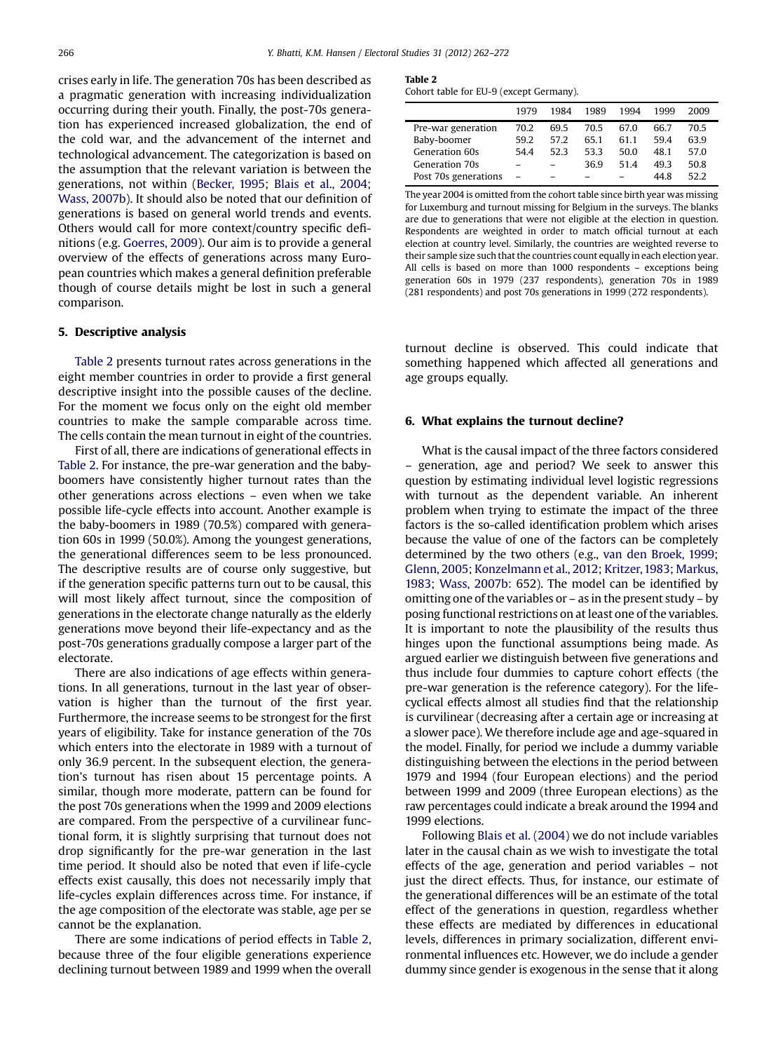crises early in life. The generation 70s has been described as a pragmatic generation with increasing individualization occurring during their youth. Finally, the post-70s generation has experienced increased globalization, the end of the cold war, and the advancement of the internet and technological advancement. The categorization is based on the assumption that the relevant variation is between the generations, not within ([Becker, 1995](#page-9-0); [Blais et al., 2004](#page-9-0); [Wass, 2007b\)](#page-10-0). It should also be noted that our definition of generations is based on general world trends and events. Others would call for more context/country specific definitions (e.g. [Goerres, 2009\)](#page-9-0). Our aim is to provide a general overview of the effects of generations across many European countries which makes a general definition preferable though of course details might be lost in such a general comparison.

# 5. Descriptive analysis

Table 2 presents turnout rates across generations in the eight member countries in order to provide a first general descriptive insight into the possible causes of the decline. For the moment we focus only on the eight old member countries to make the sample comparable across time. The cells contain the mean turnout in eight of the countries.

First of all, there are indications of generational effects in Table 2. For instance, the pre-war generation and the babyboomers have consistently higher turnout rates than the other generations across elections – even when we take possible life-cycle effects into account. Another example is the baby-boomers in 1989 (70.5%) compared with generation 60s in 1999 (50.0%). Among the youngest generations, the generational differences seem to be less pronounced. The descriptive results are of course only suggestive, but if the generation specific patterns turn out to be causal, this will most likely affect turnout, since the composition of generations in the electorate change naturally as the elderly generations move beyond their life-expectancy and as the post-70s generations gradually compose a larger part of the electorate.

There are also indications of age effects within generations. In all generations, turnout in the last year of observation is higher than the turnout of the first year. Furthermore, the increase seems to be strongest for the first years of eligibility. Take for instance generation of the 70s which enters into the electorate in 1989 with a turnout of only 36.9 percent. In the subsequent election, the generation's turnout has risen about 15 percentage points. A similar, though more moderate, pattern can be found for the post 70s generations when the 1999 and 2009 elections are compared. From the perspective of a curvilinear functional form, it is slightly surprising that turnout does not drop significantly for the pre-war generation in the last time period. It should also be noted that even if life-cycle effects exist causally, this does not necessarily imply that life-cycles explain differences across time. For instance, if the age composition of the electorate was stable, age per se cannot be the explanation.

There are some indications of period effects in Table 2, because three of the four eligible generations experience declining turnout between 1989 and 1999 when the overall

Table 2

|  |  | Cohort table for EU-9 (except Germany). |
|--|--|-----------------------------------------|
|--|--|-----------------------------------------|

|                      | 1979 | 1984 | 1989 | 1994 | 1999 | 2009 |
|----------------------|------|------|------|------|------|------|
| Pre-war generation   | 70.2 | 695  | 70.5 | 670  | 66.7 | 70.5 |
| Baby-boomer          | 59.2 | 572  | 651  | 611  | 594  | 63.9 |
| Generation 60s       | 544  | 523  | 533  | 50.0 | 48.1 | 57.0 |
| Generation 70s       |      |      | 369  | 514  | 493  | 50.8 |
| Post 70s generations |      |      |      |      | 44 8 | 52.2 |

The year 2004 is omitted from the cohort table since birth year was missing for Luxemburg and turnout missing for Belgium in the surveys. The blanks are due to generations that were not eligible at the election in question. Respondents are weighted in order to match official turnout at each election at country level. Similarly, the countries are weighted reverse to their sample size such that the countries count equally in each election year. All cells is based on more than 1000 respondents – exceptions being generation 60s in 1979 (237 respondents), generation 70s in 1989 (281 respondents) and post 70s generations in 1999 (272 respondents).

turnout decline is observed. This could indicate that something happened which affected all generations and age groups equally.

# 6. What explains the turnout decline?

What is the causal impact of the three factors considered – generation, age and period? We seek to answer this question by estimating individual level logistic regressions with turnout as the dependent variable. An inherent problem when trying to estimate the impact of the three factors is the so-called identification problem which arises because the value of one of the factors can be completely determined by the two others (e.g., [van den Broek, 1999;](#page-10-0) [Glenn, 2005;](#page-9-0) [Konzelmann et al., 2012;](#page-10-0) [Kritzer,1983](#page-10-0); [Markus,](#page-10-0) [1983](#page-10-0); [Wass, 2007b:](#page-10-0) 652). The model can be identified by omitting one of the variables or – as in the present study – by posing functional restrictions on at least one of the variables. It is important to note the plausibility of the results thus hinges upon the functional assumptions being made. As argued earlier we distinguish between five generations and thus include four dummies to capture cohort effects (the pre-war generation is the reference category). For the lifecyclical effects almost all studies find that the relationship is curvilinear (decreasing after a certain age or increasing at a slower pace). We therefore include age and age-squared in the model. Finally, for period we include a dummy variable distinguishing between the elections in the period between 1979 and 1994 (four European elections) and the period between 1999 and 2009 (three European elections) as the raw percentages could indicate a break around the 1994 and 1999 elections.

Following [Blais et al. \(2004\)](#page-9-0) we do not include variables later in the causal chain as we wish to investigate the total effects of the age, generation and period variables – not just the direct effects. Thus, for instance, our estimate of the generational differences will be an estimate of the total effect of the generations in question, regardless whether these effects are mediated by differences in educational levels, differences in primary socialization, different environmental influences etc. However, we do include a gender dummy since gender is exogenous in the sense that it along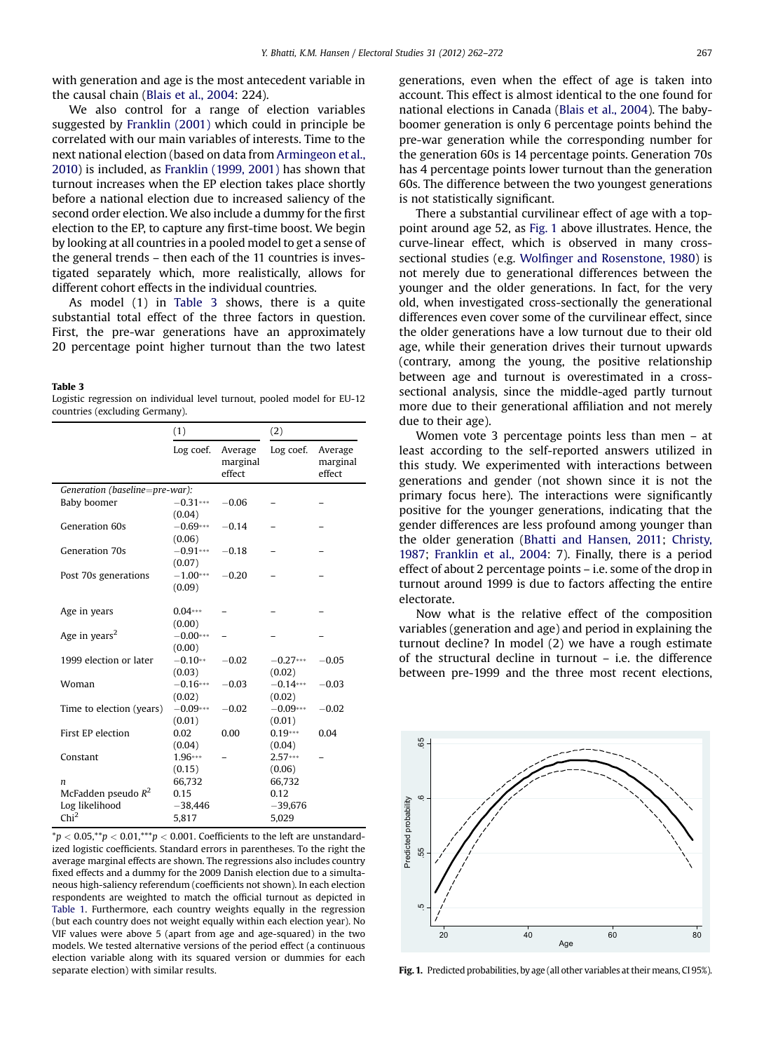<span id="page-5-0"></span>with generation and age is the most antecedent variable in the causal chain [\(Blais et al., 2004:](#page-9-0) 224).

We also control for a range of election variables suggested by [Franklin \(2001\)](#page-9-0) which could in principle be correlated with our main variables of interests. Time to the next national election (based on data from [Armingeon et al.,](#page-9-0) [2010\)](#page-9-0) is included, as [Franklin \(1999, 2001\)](#page-9-0) has shown that turnout increases when the EP election takes place shortly before a national election due to increased saliency of the second order election. We also include a dummy for the first election to the EP, to capture any first-time boost. We begin by looking at all countries in a pooled model to get a sense of the general trends – then each of the 11 countries is investigated separately which, more realistically, allows for different cohort effects in the individual countries.

As model (1) in Table 3 shows, there is a quite substantial total effect of the three factors in question. First, the pre-war generations have an approximately 20 percentage point higher turnout than the two latest

### Table 3

Logistic regression on individual level turnout, pooled model for EU-12 countries (excluding Germany).

|                                           | (1)                            |                               | (2)                  |                               |
|-------------------------------------------|--------------------------------|-------------------------------|----------------------|-------------------------------|
|                                           | Log coef.                      | Average<br>marginal<br>effect | Log coef.            | Average<br>marginal<br>effect |
| Generation (baseline=pre-war):            |                                |                               |                      |                               |
| Baby boomer                               | $-0.31***$<br>(0.04)           | $-0.06$                       |                      |                               |
| Generation 60s                            | $-0.69***$<br>(0.06)           | $-0.14$                       |                      |                               |
| Generation 70s                            | $-0.91***$                     | $-0.18$                       |                      |                               |
| Post 70s generations                      | (0.07)<br>$-1.00***$<br>(0.09) | $-0.20$                       |                      |                               |
| Age in years                              | $0.04***$<br>(0.00)            |                               |                      |                               |
| Age in years <sup>2</sup>                 | $-0.00***$<br>(0.00)           |                               |                      |                               |
| 1999 election or later                    | $-0.10**$<br>(0.03)            | $-0.02$                       | $-0.27***$<br>(0.02) | $-0.05$                       |
| Woman                                     | $-0.16***$<br>(0.02)           | $-0.03$                       | $-0.14***$<br>(0.02) | $-0.03$                       |
| Time to election (years)                  | $-0.09***$<br>(0.01)           | $-0.02$                       | $-0.09***$<br>(0.01) | $-0.02$                       |
| First EP election                         | 0.02<br>(0.04)                 | 0.00                          | $0.19***$<br>(0.04)  | 0.04                          |
| Constant                                  | 1.96***<br>(0.15)              |                               | $2.57***$<br>(0.06)  |                               |
| $\boldsymbol{n}$<br>McFadden pseudo $R^2$ | 66,732<br>0.15                 |                               | 66,732<br>0.12       |                               |
| Log likelihood<br>Chi <sup>2</sup>        | $-38,446$<br>5,817             |                               | $-39,676$<br>5,029   |                               |

 $*p < 0.05, **p < 0.01, ***p < 0.001$ . Coefficients to the left are unstandardized logistic coefficients. Standard errors in parentheses. To the right the average marginal effects are shown. The regressions also includes country fixed effects and a dummy for the 2009 Danish election due to a simultaneous high-saliency referendum (coefficients not shown). In each election respondents are weighted to match the official turnout as depicted in [Table 1](#page-1-0). Furthermore, each country weights equally in the regression (but each country does not weight equally within each election year). No VIF values were above 5 (apart from age and age-squared) in the two models. We tested alternative versions of the period effect (a continuous election variable along with its squared version or dummies for each separate election) with similar results.

generations, even when the effect of age is taken into account. This effect is almost identical to the one found for national elections in Canada [\(Blais et al., 2004\)](#page-9-0). The babyboomer generation is only 6 percentage points behind the pre-war generation while the corresponding number for the generation 60s is 14 percentage points. Generation 70s has 4 percentage points lower turnout than the generation 60s. The difference between the two youngest generations is not statistically significant.

There a substantial curvilinear effect of age with a toppoint around age 52, as Fig. 1 above illustrates. Hence, the curve-linear effect, which is observed in many crosssectional studies (e.g. Wolfi[nger and Rosenstone, 1980\)](#page-10-0) is not merely due to generational differences between the younger and the older generations. In fact, for the very old, when investigated cross-sectionally the generational differences even cover some of the curvilinear effect, since the older generations have a low turnout due to their old age, while their generation drives their turnout upwards (contrary, among the young, the positive relationship between age and turnout is overestimated in a crosssectional analysis, since the middle-aged partly turnout more due to their generational affiliation and not merely due to their age).

Women vote 3 percentage points less than men – at least according to the self-reported answers utilized in this study. We experimented with interactions between generations and gender (not shown since it is not the primary focus here). The interactions were significantly positive for the younger generations, indicating that the gender differences are less profound among younger than the older generation [\(Bhatti and Hansen, 2011;](#page-9-0) [Christy,](#page-9-0) [1987](#page-9-0); [Franklin et al., 2004](#page-9-0): 7). Finally, there is a period effect of about 2 percentage points – i.e. some of the drop in turnout around 1999 is due to factors affecting the entire electorate.

Now what is the relative effect of the composition variables (generation and age) and period in explaining the turnout decline? In model (2) we have a rough estimate of the structural decline in turnout – i.e. the difference between pre-1999 and the three most recent elections,



Fig. 1. Predicted probabilities, by age (all other variables at their means, CI 95%).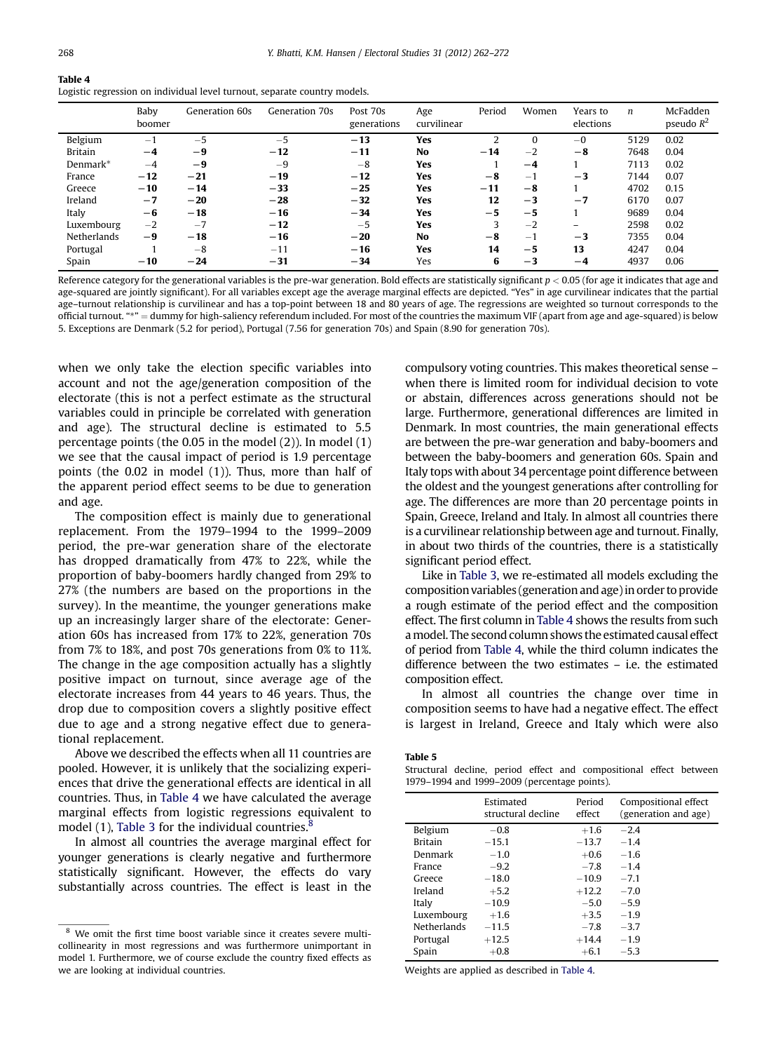<span id="page-6-0"></span>

| Table 4                                                                   |
|---------------------------------------------------------------------------|
| Logistic regression on individual level turnout, separate country models. |

|                | Baby<br>boomer | Generation 60s | Generation 70s | Post 70s<br>generations | Age<br>curvilinear | Period | Women    | Years to<br>elections    | $\boldsymbol{n}$ | McFadden<br>pseudo $R^2$ |
|----------------|----------------|----------------|----------------|-------------------------|--------------------|--------|----------|--------------------------|------------------|--------------------------|
| Belgium        | $-1$           | $-5$           | $-5$           | $-13$                   | Yes                |        | $\Omega$ | $-0$                     | 5129             | 0.02                     |
| <b>Britain</b> | $-4$           | $-9$           | $-12$          | $-11$                   | No                 | $-14$  | $-2$     | $-8$                     | 7648             | 0.04                     |
| Denmark*       | $-4$           | -9             | $-9$           | $-8$                    | Yes                |        | $-4$     |                          | 7113             | 0.02                     |
| France         | $-12$          | $-21$          | $-19$          | $-12$                   | Yes                | $-8$   | $-1$     | $-3$                     | 7144             | 0.07                     |
| Greece         | $-10$          | $-14$          | $-33$          | $-25$                   | Yes                | $-11$  | $-8$     |                          | 4702             | 0.15                     |
| Ireland        | $-7$           | $-20$          | $-28$          | $-32$                   | Yes                | 12     | $-3$     | $-7$                     | 6170             | 0.07                     |
| Italy          | -6             | $-18$          | $-16$          | $-34$                   | Yes                | $-5$   | $-5$     |                          | 9689             | 0.04                     |
| Luxembourg     | $-2$           | $-7$           | $-12$          | $-5$                    | Yes                | 3      | $-2$     | $\overline{\phantom{0}}$ | 2598             | 0.02                     |
| Netherlands    | -9             | $-18$          | $-16$          | $-20$                   | No                 | $-8$   | $-1$     | $-3$                     | 7355             | 0.04                     |
| Portugal       |                | $-8$           | $-11$          | $-16$                   | Yes                | 14     | $-5$     | 13                       | 4247             | 0.04                     |
| Spain          | $-10$          | $-24$          | $-31$          | $-34$                   | Yes                | 6      | $-3$     | $-4$                     | 4937             | 0.06                     |

Reference category for the generational variables is the pre-war generation. Bold effects are statistically significant  $p < 0.05$  (for age it indicates that age and age-squared are jointly significant). For all variables except age the average marginal effects are depicted. "Yes" in age curvilinear indicates that the partial age–turnout relationship is curvilinear and has a top-point between 18 and 80 years of age. The regressions are weighted so turnout corresponds to the official turnout. "\*" = dummy for high-saliency referendum included. For most of the countries the maximum VIF (apart from age and age-squared) is below 5. Exceptions are Denmark (5.2 for period), Portugal (7.56 for generation 70s) and Spain (8.90 for generation 70s).

when we only take the election specific variables into account and not the age/generation composition of the electorate (this is not a perfect estimate as the structural variables could in principle be correlated with generation and age). The structural decline is estimated to 5.5 percentage points (the 0.05 in the model (2)). In model (1) we see that the causal impact of period is 1.9 percentage points (the 0.02 in model (1)). Thus, more than half of the apparent period effect seems to be due to generation and age.

The composition effect is mainly due to generational replacement. From the 1979–1994 to the 1999–2009 period, the pre-war generation share of the electorate has dropped dramatically from 47% to 22%, while the proportion of baby-boomers hardly changed from 29% to 27% (the numbers are based on the proportions in the survey). In the meantime, the younger generations make up an increasingly larger share of the electorate: Generation 60s has increased from 17% to 22%, generation 70s from 7% to 18%, and post 70s generations from 0% to 11%. The change in the age composition actually has a slightly positive impact on turnout, since average age of the electorate increases from 44 years to 46 years. Thus, the drop due to composition covers a slightly positive effect due to age and a strong negative effect due to generational replacement.

Above we described the effects when all 11 countries are pooled. However, it is unlikely that the socializing experiences that drive the generational effects are identical in all countries. Thus, in Table 4 we have calculated the average marginal effects from logistic regressions equivalent to model (1), [Table 3](#page-5-0) for the individual countries. $\frac{8}{3}$ 

In almost all countries the average marginal effect for younger generations is clearly negative and furthermore statistically significant. However, the effects do vary substantially across countries. The effect is least in the compulsory voting countries. This makes theoretical sense – when there is limited room for individual decision to vote or abstain, differences across generations should not be large. Furthermore, generational differences are limited in Denmark. In most countries, the main generational effects are between the pre-war generation and baby-boomers and between the baby-boomers and generation 60s. Spain and Italy tops with about 34 percentage point difference between the oldest and the youngest generations after controlling for age. The differences are more than 20 percentage points in Spain, Greece, Ireland and Italy. In almost all countries there is a curvilinear relationship between age and turnout. Finally, in about two thirds of the countries, there is a statistically significant period effect.

Like in [Table 3,](#page-5-0) we re-estimated all models excluding the composition variables (generation and age) in order to provide a rough estimate of the period effect and the composition effect. The first column in Table 4 shows the results from such amodel. The second column shows the estimated causal effect of period from Table 4, while the third column indicates the difference between the two estimates – i.e. the estimated composition effect.

In almost all countries the change over time in composition seems to have had a negative effect. The effect is largest in Ireland, Greece and Italy which were also

Table 5

Structural decline, period effect and compositional effect between 1979–1994 and 1999–2009 (percentage points).

|                    | Estimated<br>structural decline | Period<br>effect | Compositional effect<br>(generation and age) |
|--------------------|---------------------------------|------------------|----------------------------------------------|
| Belgium            | $-0.8$                          | $+1.6$           | $-2.4$                                       |
| <b>Britain</b>     | $-15.1$                         | $-13.7$          | $-1.4$                                       |
| Denmark            | $-1.0$                          | $+0.6$           | $-1.6$                                       |
| France             | $-9.2$                          | $-7.8$           | $-1.4$                                       |
| Greece             | $-18.0$                         | $-10.9$          | $-7.1$                                       |
| Ireland            | $+5.2$                          | $+12.2$          | $-7.0$                                       |
| Italy              | $-10.9$                         | $-5.0$           | $-5.9$                                       |
| Luxembourg         | $+1.6$                          | $+3.5$           | $-1.9$                                       |
| <b>Netherlands</b> | $-11.5$                         | $-7.8$           | $-3.7$                                       |
| Portugal           | $+12.5$                         | $+14.4$          | $-1.9$                                       |
| Spain              | $+0.8$                          | $+6.1$           | $-5.3$                                       |

Weights are applied as described in Table 4.

We omit the first time boost variable since it creates severe multicollinearity in most regressions and was furthermore unimportant in model 1. Furthermore, we of course exclude the country fixed effects as we are looking at individual countries.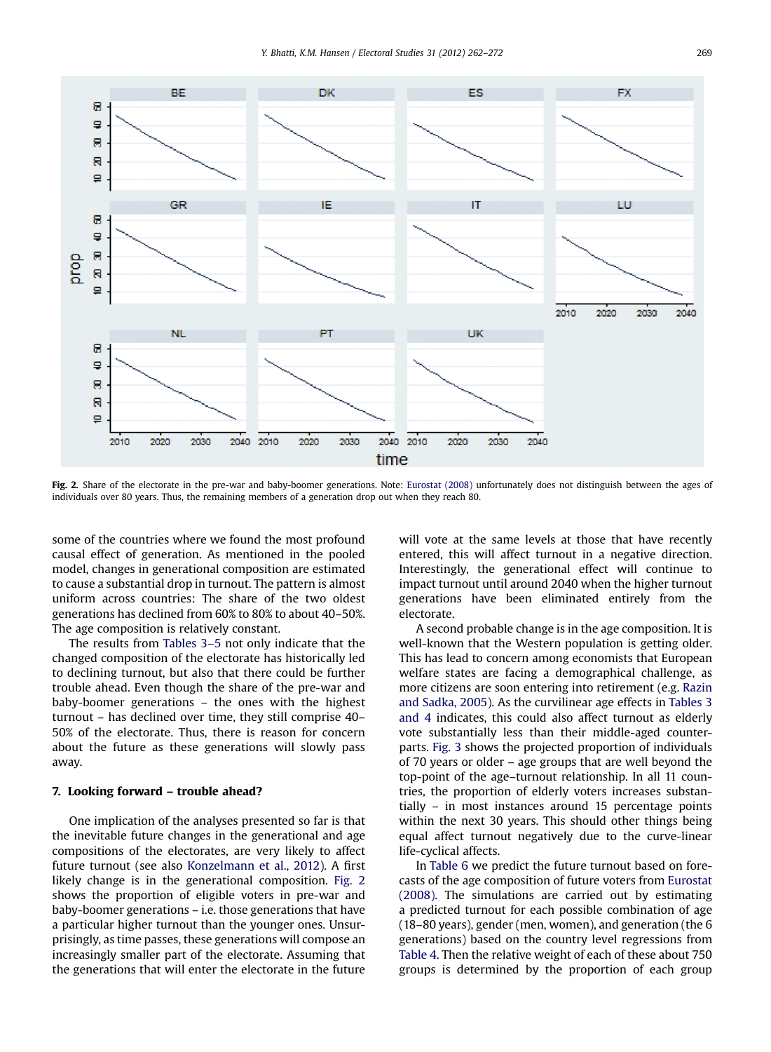

Fig. 2. Share of the electorate in the pre-war and baby-boomer generations. Note: [Eurostat \(2008\)](#page-9-0) unfortunately does not distinguish between the ages of individuals over 80 years. Thus, the remaining members of a generation drop out when they reach 80.

some of the countries where we found the most profound causal effect of generation. As mentioned in the pooled model, changes in generational composition are estimated to cause a substantial drop in turnout. The pattern is almost uniform across countries: The share of the two oldest generations has declined from 60% to 80% to about 40–50%. The age composition is relatively constant.

The results from [Tables 3](#page-5-0)–5 not only indicate that the changed composition of the electorate has historically led to declining turnout, but also that there could be further trouble ahead. Even though the share of the pre-war and baby-boomer generations – the ones with the highest turnout – has declined over time, they still comprise 40– 50% of the electorate. Thus, there is reason for concern about the future as these generations will slowly pass away.

# 7. Looking forward – trouble ahead?

One implication of the analyses presented so far is that the inevitable future changes in the generational and age compositions of the electorates, are very likely to affect future turnout (see also [Konzelmann et al., 2012\)](#page-10-0). A first likely change is in the generational composition. Fig. 2 shows the proportion of eligible voters in pre-war and baby-boomer generations – i.e. those generations that have a particular higher turnout than the younger ones. Unsurprisingly, as time passes, these generations will compose an increasingly smaller part of the electorate. Assuming that the generations that will enter the electorate in the future

will vote at the same levels at those that have recently entered, this will affect turnout in a negative direction. Interestingly, the generational effect will continue to impact turnout until around 2040 when the higher turnout generations have been eliminated entirely from the electorate.

A second probable change is in the age composition. It is well-known that the Western population is getting older. This has lead to concern among economists that European welfare states are facing a demographical challenge, as more citizens are soon entering into retirement (e.g. [Razin](#page-10-0) [and Sadka, 2005](#page-10-0)). As the curvilinear age effects in [Tables 3](#page-5-0) [and 4](#page-5-0) indicates, this could also affect turnout as elderly vote substantially less than their middle-aged counterparts. [Fig. 3](#page-8-0) shows the projected proportion of individuals of 70 years or older – age groups that are well beyond the top-point of the age–turnout relationship. In all 11 countries, the proportion of elderly voters increases substantially – in most instances around 15 percentage points within the next 30 years. This should other things being equal affect turnout negatively due to the curve-linear life-cyclical affects.

In [Table 6](#page-8-0) we predict the future turnout based on forecasts of the age composition of future voters from [Eurostat](#page-9-0) [\(2008\)](#page-9-0). The simulations are carried out by estimating a predicted turnout for each possible combination of age (18–80 years), gender (men, women), and generation (the 6 generations) based on the country level regressions from [Table 4](#page-6-0). Then the relative weight of each of these about 750 groups is determined by the proportion of each group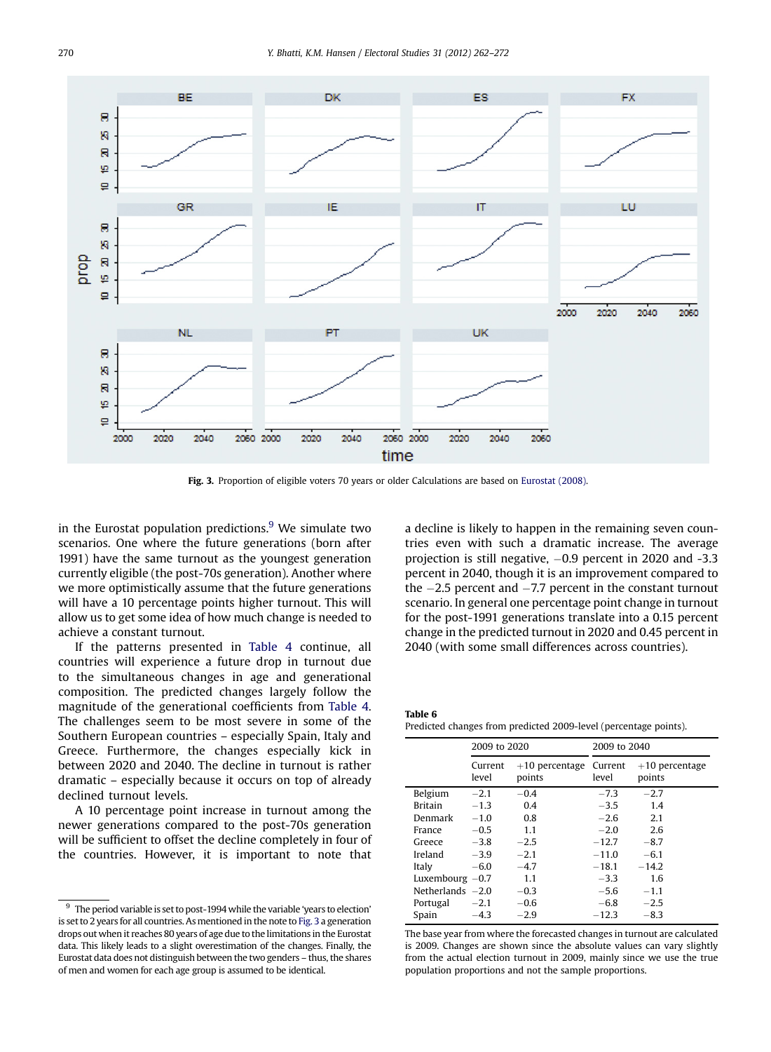<span id="page-8-0"></span>

Fig. 3. Proportion of eligible voters 70 years or older Calculations are based on [Eurostat \(2008\).](#page-9-0)

in the Eurostat population predictions. $9$  We simulate two scenarios. One where the future generations (born after 1991) have the same turnout as the youngest generation currently eligible (the post-70s generation). Another where we more optimistically assume that the future generations will have a 10 percentage points higher turnout. This will allow us to get some idea of how much change is needed to achieve a constant turnout.

If the patterns presented in [Table 4](#page-6-0) continue, all countries will experience a future drop in turnout due to the simultaneous changes in age and generational composition. The predicted changes largely follow the magnitude of the generational coefficients from [Table 4](#page-6-0). The challenges seem to be most severe in some of the Southern European countries – especially Spain, Italy and Greece. Furthermore, the changes especially kick in between 2020 and 2040. The decline in turnout is rather dramatic – especially because it occurs on top of already declined turnout levels.

A 10 percentage point increase in turnout among the newer generations compared to the post-70s generation will be sufficient to offset the decline completely in four of the countries. However, it is important to note that

a decline is likely to happen in the remaining seven countries even with such a dramatic increase. The average projection is still negative,  $-0.9$  percent in 2020 and  $-3.3$ percent in 2040, though it is an improvement compared to the  $-2.5$  percent and  $-7.7$  percent in the constant turnout scenario. In general one percentage point change in turnout for the post-1991 generations translate into a 0.15 percent change in the predicted turnout in 2020 and 0.45 percent in 2040 (with some small differences across countries).

Table 6 Predicted changes from predicted 2009-level (percentage points).

|                    | 2009 to 2020     |                            | 2009 to 2040     |                            |  |
|--------------------|------------------|----------------------------|------------------|----------------------------|--|
|                    | Current<br>level | $+10$ percentage<br>points | Current<br>level | $+10$ percentage<br>points |  |
| Belgium            | $-2.1$           | $-0.4$                     | $-7.3$           | $-2.7$                     |  |
| <b>Britain</b>     | $-1.3$           | 0.4                        | $-3.5$           | 1.4                        |  |
| Denmark            | $-1.0$           | 0.8                        | $-2.6$           | 2.1                        |  |
| France             | $-0.5$           | 1.1                        | $-2.0$           | 2.6                        |  |
| Greece             | $-3.8$           | $-2.5$                     | $-12.7$          | $-8.7$                     |  |
| Ireland            | $-3.9$           | $-2.1$                     | $-11.0$          | $-6.1$                     |  |
| Italy              | $-6.0$           | $-4.7$                     | $-18.1$          | $-14.2$                    |  |
| Luxembourg $-0.7$  |                  | 1.1                        | $-3.3$           | 1.6                        |  |
| Netherlands $-2.0$ |                  | $-0.3$                     | $-5.6$           | $-1.1$                     |  |
| Portugal           | $-2.1$           | $-0.6$                     | $-6.8$           | $-2.5$                     |  |
| Spain              | $-4.3$           | $-2.9$                     | $-12.3$          | $-8.3$                     |  |

The base year from where the forecasted changes in turnout are calculated is 2009. Changes are shown since the absolute values can vary slightly from the actual election turnout in 2009, mainly since we use the true population proportions and not the sample proportions.

 $9\degree$  The period variable is set to post-1994 while the variable 'years to election' is set to 2 years for all countries. As mentioned in the note to Fig. 3 a generation drops out when it reaches 80 years of age due to the limitations in the Eurostat data. This likely leads to a slight overestimation of the changes. Finally, the Eurostat data does not distinguish between the two genders – thus, the shares of men and women for each age group is assumed to be identical.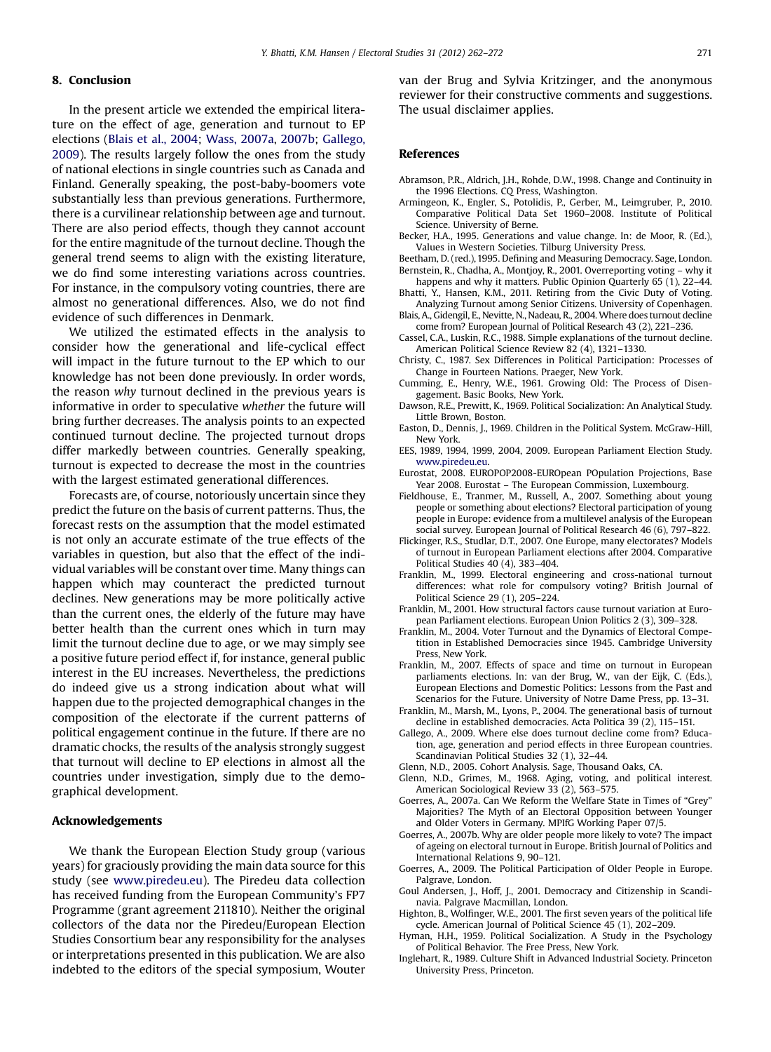# <span id="page-9-0"></span>8. Conclusion

In the present article we extended the empirical literature on the effect of age, generation and turnout to EP elections (Blais et al., 2004; [Wass, 2007a](#page-10-0), [2007b](#page-10-0); Gallego, 2009). The results largely follow the ones from the study of national elections in single countries such as Canada and Finland. Generally speaking, the post-baby-boomers vote substantially less than previous generations. Furthermore, there is a curvilinear relationship between age and turnout. There are also period effects, though they cannot account for the entire magnitude of the turnout decline. Though the general trend seems to align with the existing literature, we do find some interesting variations across countries. For instance, in the compulsory voting countries, there are almost no generational differences. Also, we do not find evidence of such differences in Denmark.

We utilized the estimated effects in the analysis to consider how the generational and life-cyclical effect will impact in the future turnout to the EP which to our knowledge has not been done previously. In order words, the reason why turnout declined in the previous years is informative in order to speculative whether the future will bring further decreases. The analysis points to an expected continued turnout decline. The projected turnout drops differ markedly between countries. Generally speaking, turnout is expected to decrease the most in the countries with the largest estimated generational differences.

Forecasts are, of course, notoriously uncertain since they predict the future on the basis of current patterns. Thus, the forecast rests on the assumption that the model estimated is not only an accurate estimate of the true effects of the variables in question, but also that the effect of the individual variables will be constant over time. Many things can happen which may counteract the predicted turnout declines. New generations may be more politically active than the current ones, the elderly of the future may have better health than the current ones which in turn may limit the turnout decline due to age, or we may simply see a positive future period effect if, for instance, general public interest in the EU increases. Nevertheless, the predictions do indeed give us a strong indication about what will happen due to the projected demographical changes in the composition of the electorate if the current patterns of political engagement continue in the future. If there are no dramatic chocks, the results of the analysis strongly suggest that turnout will decline to EP elections in almost all the countries under investigation, simply due to the demographical development.

# Acknowledgements

We thank the European Election Study group (various years) for graciously providing the main data source for this study (see [www.piredeu.eu](http://www.piredeu.eu)). The Piredeu data collection has received funding from the European Community's FP7 Programme (grant agreement 211810). Neither the original collectors of the data nor the Piredeu/European Election Studies Consortium bear any responsibility for the analyses or interpretations presented in this publication. We are also indebted to the editors of the special symposium, Wouter van der Brug and Sylvia Kritzinger, and the anonymous reviewer for their constructive comments and suggestions. The usual disclaimer applies.

# References

- Abramson, P.R., Aldrich, J.H., Rohde, D.W., 1998. Change and Continuity in the 1996 Elections. CQ Press, Washington.
- Armingeon, K., Engler, S., Potolidis, P., Gerber, M., Leimgruber, P., 2010. Comparative Political Data Set 1960–2008. Institute of Political Science. University of Berne.
- Becker, H.A., 1995. Generations and value change. In: de Moor, R. (Ed.), Values in Western Societies. Tilburg University Press.
- Beetham, D. (red.), 1995. Defining and Measuring Democracy. Sage, London. Bernstein, R., Chadha, A., Montjoy, R., 2001. Overreporting voting – why it
- happens and why it matters. Public Opinion Quarterly 65 (1), 22-44. Bhatti, Y., Hansen, K.M., 2011. Retiring from the Civic Duty of Voting.
- Analyzing Turnout among Senior Citizens. University of Copenhagen. Blais, A., Gidengil, E., Nevitte, N., Nadeau, R., 2004. Where does turnout decline come from? European Journal of Political Research 43 (2), 221–236.
- Cassel, C.A., Luskin, R.C., 1988. Simple explanations of the turnout decline. American Political Science Review 82 (4), 1321–1330.
- Christy, C., 1987. Sex Differences in Political Participation: Processes of Change in Fourteen Nations. Praeger, New York.
- Cumming, E., Henry, W.E., 1961. Growing Old: The Process of Disengagement. Basic Books, New York.
- Dawson, R.E., Prewitt, K., 1969. Political Socialization: An Analytical Study. Little Brown, Boston.
- Easton, D., Dennis, J., 1969. Children in the Political System. McGraw-Hill, New York.
- EES, 1989, 1994, 1999, 2004, 2009. European Parliament Election Study. [www.piredeu.eu](http://www.piredeu.eu).
- Eurostat, 2008. EUROPOP2008-EUROpean POpulation Projections, Base Year 2008. Eurostat – The European Commission, Luxembourg.
- Fieldhouse, E., Tranmer, M., Russell, A., 2007. Something about young people or something about elections? Electoral participation of young people in Europe: evidence from a multilevel analysis of the European social survey. European Journal of Political Research 46 (6), 797–822.
- Flickinger, R.S., Studlar, D.T., 2007. One Europe, many electorates? Models of turnout in European Parliament elections after 2004. Comparative Political Studies  $40(4)$ , 383-404.
- Franklin, M., 1999. Electoral engineering and cross-national turnout differences: what role for compulsory voting? British Journal of Political Science 29 (1), 205–224.
- Franklin, M., 2001. How structural factors cause turnout variation at European Parliament elections. European Union Politics 2 (3), 309–328.
- Franklin, M., 2004. Voter Turnout and the Dynamics of Electoral Competition in Established Democracies since 1945. Cambridge University Press, New York.
- Franklin, M., 2007. Effects of space and time on turnout in European parliaments elections. In: van der Brug, W., van der Eijk, C. (Eds.), European Elections and Domestic Politics: Lessons from the Past and Scenarios for the Future. University of Notre Dame Press, pp. 13–31.
- Franklin, M., Marsh, M., Lyons, P., 2004. The generational basis of turnout decline in established democracies. Acta Politica 39 (2), 115–151.
- Gallego, A., 2009. Where else does turnout decline come from? Education, age, generation and period effects in three European countries. Scandinavian Political Studies 32 (1), 32–44.
- Glenn, N.D., 2005. Cohort Analysis. Sage, Thousand Oaks, CA.
- Glenn, N.D., Grimes, M., 1968. Aging, voting, and political interest. American Sociological Review 33 (2), 563–575.
- Goerres, A., 2007a. Can We Reform the Welfare State in Times of "Grey" Majorities? The Myth of an Electoral Opposition between Younger and Older Voters in Germany. MPIfG Working Paper 07/5.
- Goerres, A., 2007b. Why are older people more likely to vote? The impact of ageing on electoral turnout in Europe. British Journal of Politics and International Relations 9, 90–121.
- Goerres, A., 2009. The Political Participation of Older People in Europe. Palgrave, London.
- Goul Andersen, J., Hoff, J., 2001. Democracy and Citizenship in Scandinavia. Palgrave Macmillan, London.
- Highton, B., Wolfinger, W.E., 2001. The first seven years of the political life cycle. American Journal of Political Science 45 (1), 202–209.
- Hyman, H.H., 1959. Political Socialization. A Study in the Psychology of Political Behavior. The Free Press, New York.
- Inglehart, R., 1989. Culture Shift in Advanced Industrial Society. Princeton University Press, Princeton.